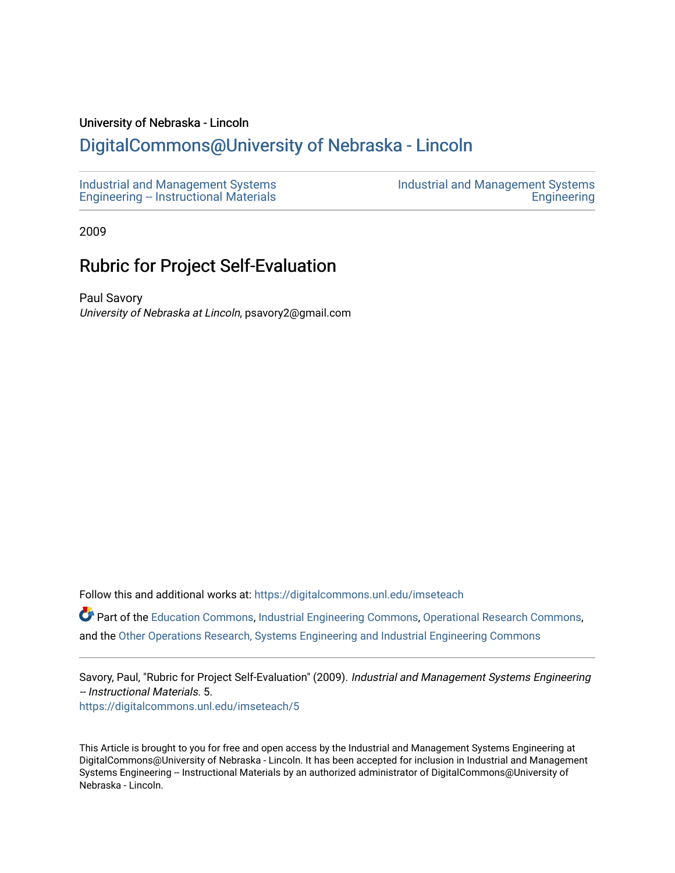#### University of Nebraska - Lincoln

# [DigitalCommons@University of Nebraska - Lincoln](https://digitalcommons.unl.edu/)

2009

### Rubric for Project Self-Evaluation

Paul Savory University of Nebraska at Lincoln, psavory2@gmail.com

Follow this and additional works at: [https://digitalcommons.unl.edu/imseteach](https://digitalcommons.unl.edu/imseteach?utm_source=digitalcommons.unl.edu%2Fimseteach%2F5&utm_medium=PDF&utm_campaign=PDFCoverPages) 

Part of the [Education Commons](http://network.bepress.com/hgg/discipline/784?utm_source=digitalcommons.unl.edu%2Fimseteach%2F5&utm_medium=PDF&utm_campaign=PDFCoverPages), [Industrial Engineering Commons](http://network.bepress.com/hgg/discipline/307?utm_source=digitalcommons.unl.edu%2Fimseteach%2F5&utm_medium=PDF&utm_campaign=PDFCoverPages), [Operational Research Commons,](http://network.bepress.com/hgg/discipline/308?utm_source=digitalcommons.unl.edu%2Fimseteach%2F5&utm_medium=PDF&utm_campaign=PDFCoverPages) and the [Other Operations Research, Systems Engineering and Industrial Engineering Commons](http://network.bepress.com/hgg/discipline/310?utm_source=digitalcommons.unl.edu%2Fimseteach%2F5&utm_medium=PDF&utm_campaign=PDFCoverPages) 

Savory, Paul, "Rubric for Project Self-Evaluation" (2009). Industrial and Management Systems Engineering -- Instructional Materials. 5. [https://digitalcommons.unl.edu/imseteach/5](https://digitalcommons.unl.edu/imseteach/5?utm_source=digitalcommons.unl.edu%2Fimseteach%2F5&utm_medium=PDF&utm_campaign=PDFCoverPages) 

This Article is brought to you for free and open access by the Industrial and Management Systems Engineering at DigitalCommons@University of Nebraska - Lincoln. It has been accepted for inclusion in Industrial and Management Systems Engineering -- Instructional Materials by an authorized administrator of DigitalCommons@University of Nebraska - Lincoln.